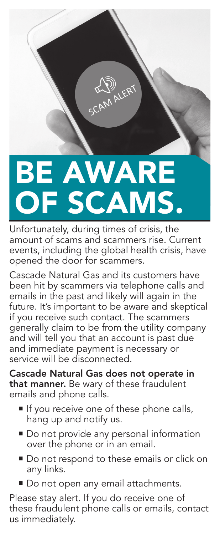## BE AWARE OF SCAMS.

CAM ALERT

Unfortunately, during times of crisis, the amount of scams and scammers rise. Current events, including the global health crisis, have opened the door for scammers.

Cascade Natural Gas and its customers have been hit by scammers via telephone calls and emails in the past and likely will again in the future. It's important to be aware and skeptical if you receive such contact. The scammers generally claim to be from the utility company and will tell you that an account is past due and immediate payment is necessary or service will be disconnected.

Cascade Natural Gas does not operate in that manner. Be wary of these fraudulent emails and phone calls.

- If you receive one of these phone calls, hang up and notify us.
- **Do not provide any personal information** over the phone or in an email.
- Do not respond to these emails or click on any links.
- Do not open any email attachments.

Please stay alert. If you do receive one of these fraudulent phone calls or emails, contact us immediately.